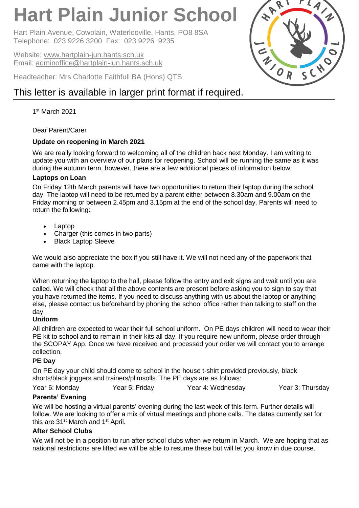# **Hart Plain Junior School**

Hart Plain Avenue, Cowplain, Waterlooville, Hants, PO8 8SA Telephone: 023 9226 3200 Fax: 023 9226 9235

Website: [www.hartplain-jun.hants.sch.uk](http://www.hartplain-jun.hants.sch.uk/) Email: [adminoffice@hartplain-jun.hants.sch.uk](mailto:adminoffice@hartplain-jun.hants.sch.uk)

Headteacher: Mrs Charlotte Faithfull BA (Hons) QTS

# This letter is available in larger print format if required.

1 st March 2021

# Dear Parent/Carer

# **Update on reopening in March 2021**

We are really looking forward to welcoming all of the children back next Monday. I am writing to update you with an overview of our plans for reopening. School will be running the same as it was during the autumn term, however, there are a few additional pieces of information below.

# **Laptops on Loan**

On Friday 12th March parents will have two opportunities to return their laptop during the school day. The laptop will need to be returned by a parent either between 8.30am and 9.00am on the Friday morning or between 2.45pm and 3.15pm at the end of the school day. Parents will need to return the following:

- Laptop
- Charger (this comes in two parts)
- Black Laptop Sleeve

We would also appreciate the box if you still have it. We will not need any of the paperwork that came with the laptop.

When returning the laptop to the hall, please follow the entry and exit signs and wait until you are called. We will check that all the above contents are present before asking you to sign to say that you have returned the items. If you need to discuss anything with us about the laptop or anything else, please contact us beforehand by phoning the school office rather than talking to staff on the day.

# **Uniform**

All children are expected to wear their full school uniform. On PE days children will need to wear their PE kit to school and to remain in their kits all day. If you require new uniform, please order through the SCOPAY App. Once we have received and processed your order we will contact you to arrange collection.

# **PE Day**

On PE day your child should come to school in the house t-shirt provided previously, black shorts/black joggers and trainers/plimsolls. The PE days are as follows:

Year 6: Monday **Year 5: Friday** Year 4: Wednesday Year 3: Thursday

# **Parents' Evening**

We will be hosting a virtual parents' evening during the last week of this term. Further details will follow. We are looking to offer a mix of virtual meetings and phone calls. The dates currently set for this are 31<sup>st</sup> March and 1<sup>st</sup> April.

# **After School Clubs**

We will not be in a position to run after school clubs when we return in March. We are hoping that as national restrictions are lifted we will be able to resume these but will let you know in due course.

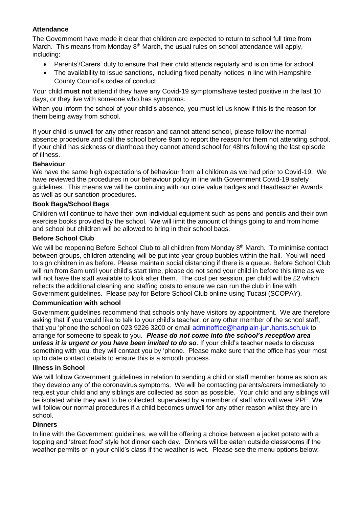#### **Attendance**

The Government have made it clear that children are expected to return to school full time from March. This means from Monday  $8<sup>th</sup>$  March, the usual rules on school attendance will apply, including:

- Parents'/Carers' duty to ensure that their child attends regularly and is on time for school.
- The availability to issue sanctions, including fixed penalty notices in line with Hampshire County Council's codes of conduct

Your child **must not** attend if they have any Covid-19 symptoms/have tested positive in the last 10 days, or they live with someone who has symptoms.

When you inform the school of your child's absence, you must let us know if this is the reason for them being away from school.

If your child is unwell for any other reason and cannot attend school, please follow the normal absence procedure and call the school before 9am to report the reason for them not attending school. If your child has sickness or diarrhoea they cannot attend school for 48hrs following the last episode of illness.

#### **Behaviour**

We have the same high expectations of behaviour from all children as we had prior to Covid-19. We have reviewed the procedures in our behaviour policy in line with Government Covid-19 safety guidelines. This means we will be continuing with our core value badges and Headteacher Awards as well as our sanction procedures.

#### **Book Bags/School Bags**

Children will continue to have their own individual equipment such as pens and pencils and their own exercise books provided by the school. We will limit the amount of things going to and from home and school but children will be allowed to bring in their school bags.

#### **Before School Club**

We will be reopening Before School Club to all children from Monday 8<sup>th</sup> March. To minimise contact between groups, children attending will be put into year group bubbles within the hall. You will need to sign children in as before. Please maintain social distancing if there is a queue. Before School Club will run from 8am until your child's start time, please do not send your child in before this time as we will not have the staff available to look after them. The cost per session, per child will be £2 which reflects the additional cleaning and staffing costs to ensure we can run the club in line with Government guidelines. Please pay for Before School Club online using Tucasi (SCOPAY).

#### **Communication with school**

Government guidelines recommend that schools only have visitors by appointment. We are therefore asking that if you would like to talk to your child's teacher, or any other member of the school staff, that you 'phone the school on 023 9226 3200 or email [adminoffice@hartplain-jun.hants.sch.uk](mailto:adminoffice@hartplain-jun.hants.sch.uk) to arrange for someone to speak to you. *Please do not come into the school's reception area unless it is urgent or you have been invited to do so*. If your child's teacher needs to discuss something with you, they will contact you by 'phone. Please make sure that the office has your most up to date contact details to ensure this is a smooth process.

#### **Illness in School**

We will follow Government guidelines in relation to sending a child or staff member home as soon as they develop any of the coronavirus symptoms. We will be contacting parents/carers immediately to request your child and any siblings are collected as soon as possible. Your child and any siblings will be isolated while they wait to be collected, supervised by a member of staff who will wear PPE. We will follow our normal procedures if a child becomes unwell for any other reason whilst they are in school.

#### **Dinners**

In line with the Government guidelines, we will be offering a choice between a jacket potato with a topping and 'street food' style hot dinner each day. Dinners will be eaten outside classrooms if the weather permits or in your child's class if the weather is wet. Please see the menu options below: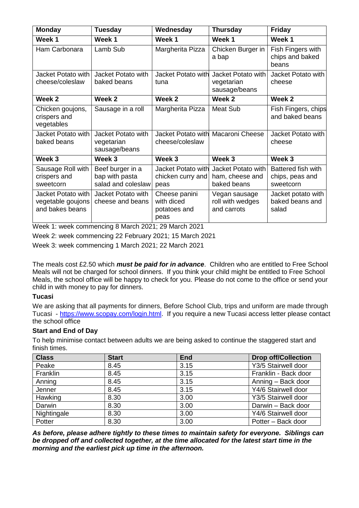| <b>Monday</b>                                              | Tuesday                                                  | Wednesday                                           | <b>Thursday</b>                                      | <b>Friday</b>                                      |
|------------------------------------------------------------|----------------------------------------------------------|-----------------------------------------------------|------------------------------------------------------|----------------------------------------------------|
| Week 1                                                     | Week 1                                                   | Week 1                                              | Week 1                                               | Week 1                                             |
| Ham Carbonara                                              | Lamb Sub                                                 | Margherita Pizza                                    | Chicken Burger in<br>a bap                           | Fish Fingers with<br>chips and baked<br>beans      |
| Jacket Potato with                                         | Jacket Potato with                                       | Jacket Potato with                                  | Jacket Potato with                                   | Jacket Potato with                                 |
| cheese/coleslaw                                            | baked beans                                              | tuna                                                | vegetarian<br>sausage/beans                          | cheese                                             |
| Week 2                                                     | Week 2                                                   | Week 2                                              | Week 2                                               | Week 2                                             |
| Chicken goujons,<br>crispers and<br>vegetables             | Sausage in a roll                                        | Margherita Pizza                                    | <b>Meat Sub</b>                                      | Fish Fingers, chips<br>and baked beans             |
| Jacket Potato with<br>baked beans                          | Jacket Potato with<br>vegetarian<br>sausage/beans        | Jacket Potato with<br>cheese/coleslaw               | Macaroni Cheese                                      | Jacket Potato with<br>cheese                       |
| Week 3                                                     | Week 3                                                   | Week 3                                              | Week 3                                               | Week 3                                             |
| Sausage Roll with<br>crispers and<br>sweetcorn             | Beef burger in a<br>bap with pasta<br>salad and coleslaw | Jacket Potato with<br>chicken curry and<br>peas     | Jacket Potato with<br>ham, cheese and<br>baked beans | Battered fish with<br>chips, peas and<br>sweetcorn |
| Jacket Potato with<br>vegetable goujons<br>and bakes beans | Jacket Potato with<br>cheese and beans                   | Cheese panini<br>with diced<br>potatoes and<br>peas | Vegan sausage<br>roll with wedges<br>and carrots     | Jacket potato with<br>baked beans and<br>salad     |

Week 1: week commencing 8 March 2021; 29 March 2021

Week 2: week commencing 22 February 2021; 15 March 2021

Week 3: week commencing 1 March 2021; 22 March 2021

The meals cost £2.50 which *must be paid for in advance*. Children who are entitled to Free School Meals will not be charged for school dinners. If you think your child might be entitled to Free School Meals, the school office will be happy to check for you. Please do not come to the office or send your child in with money to pay for dinners.

#### **Tucasi**

We are asking that all payments for dinners, Before School Club, trips and uniform are made through Tucasi - [https://www.scopay.com/login.html.](https://www.scopay.com/login.html) If you require a new Tucasi access letter please contact the school office

# **Start and End of Day**

To help minimise contact between adults we are being asked to continue the staggered start and finish times.

| <b>Class</b> | <b>Start</b> | <b>End</b> | <b>Drop off/Collection</b> |
|--------------|--------------|------------|----------------------------|
| Peake        | 8.45         | 3.15       | Y3/5 Stairwell door        |
| Franklin     | 8.45         | 3.15       | Franklin - Back door       |
| Anning       | 8.45         | 3.15       | Anning – Back door         |
| Jenner       | 8.45         | 3.15       | Y4/6 Stairwell door        |
| Hawking      | 8.30         | 3.00       | Y3/5 Stairwell door        |
| Darwin       | 8.30         | 3.00       | Darwin - Back door         |
| Nightingale  | 8.30         | 3.00       | Y4/6 Stairwell door        |
| Potter       | 8.30         | 3.00       | Potter - Back door         |

*As before, please adhere tightly to these times to maintain safety for everyone. Siblings can be dropped off and collected together, at the time allocated for the latest start time in the morning and the earliest pick up time in the afternoon.*